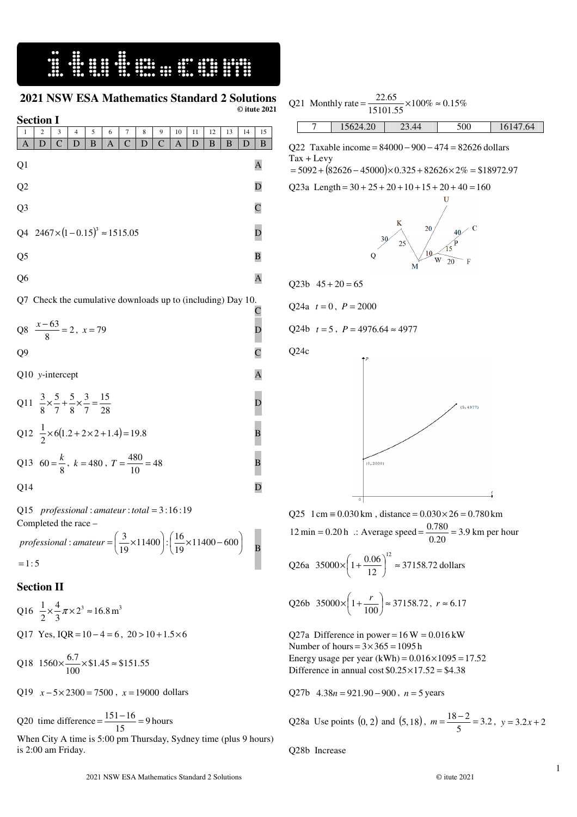## **2021 NSW ESA Mathematics Standard 2 Solutions © itute 2021**

| <b>Section I</b>                                         |                                                                                       |              |   |          |   |              |   |              |    |    |    |    |    |                             |
|----------------------------------------------------------|---------------------------------------------------------------------------------------|--------------|---|----------|---|--------------|---|--------------|----|----|----|----|----|-----------------------------|
| 1                                                        | 2                                                                                     | 3            | 4 | 5        | 6 | 7            | 8 | 9            | 10 | 11 | 12 | 13 | 14 | 15                          |
| A                                                        | D                                                                                     | $\mathsf{C}$ | D | $\bf{B}$ | A | $\mathsf{C}$ | D | $\mathsf{C}$ | A  | D  | B  | B  | D  | B                           |
| Q1                                                       |                                                                                       |              |   |          |   |              |   |              |    |    |    |    |    | A                           |
| Q2                                                       |                                                                                       |              |   |          |   |              |   |              |    |    |    |    |    | D                           |
| Q <sub>3</sub>                                           |                                                                                       |              |   |          |   |              |   |              |    |    |    |    |    | $\overline{\rm C}$          |
| Q4                                                       | $2467 \times (1 - 0.15)^3 \approx 1515.05$                                            |              |   |          |   |              |   |              |    |    |    |    |    | $\overline{\mathbf{D}}$     |
| Q <sub>5</sub>                                           |                                                                                       |              |   |          |   |              |   |              |    |    |    |    |    | B                           |
| Q <sub>6</sub>                                           |                                                                                       |              |   |          |   |              |   |              |    |    |    |    |    | A                           |
| Check the cumulative downloads up to (including) Day 10. |                                                                                       |              |   |          |   |              |   |              |    |    |    |    |    |                             |
|                                                          | Q8 $\frac{x-63}{8} = 2$ , $x = 79$                                                    |              |   |          |   |              |   |              |    |    |    |    |    | $\frac{\text{C}}{\text{D}}$ |
| Q <sub>9</sub>                                           |                                                                                       |              |   |          |   |              |   |              |    |    |    |    |    |                             |
|                                                          | Q10 y-intercept                                                                       |              |   |          |   |              |   |              |    |    |    |    |    | $\mathbf{A}$                |
|                                                          | Q11 $\frac{3}{8} \times \frac{5}{7} + \frac{5}{8} \times \frac{3}{7} = \frac{15}{28}$ |              |   |          |   |              |   |              |    |    |    |    |    | $\overline{\mathbf{D}}$     |
|                                                          | Q12 $\frac{1}{2} \times 6(1.2 + 2 \times 2 + 1.4) = 19.8$                             |              |   |          |   |              |   |              |    |    |    |    |    | $\overline{B}$              |
|                                                          | Q13 60 = $\frac{k}{8}$ , k = 480, T = $\frac{480}{10}$ = 48                           |              |   |          |   |              |   |              |    |    |    |    |    | B                           |
| Q14                                                      |                                                                                       |              |   |          |   |              |   |              |    |    |    |    |    | D                           |
|                                                          | Q15 professional: amateur: total = $3:16:19$                                          |              |   |          |   |              |   |              |    |    |    |    |    |                             |

Completed the race –  $=1:5$  $\left(\frac{3}{19}\times11400\right)$ :  $\left(\frac{16}{19}\times11400 - 600\right)$ : amateur =  $\left(\frac{3}{10} \times 11400\right)$ :  $\left(\frac{16}{10} \times 11400 - 600\right)$ J  $\left(\frac{16}{2} \times 11400 - 600\right)$ l  $\cdot \left( \frac{16}{19} \times 11400 - \right)$  $\left(\frac{3}{2} \times 11400\right)$ l *professional* : amateur =  $\left(\frac{3}{19} \times 11400\right)$  :  $\left(\frac{16}{19} \times 11400 - 600\right)$  **B** 

## **Section II**

Q16 
$$
\frac{1}{2} \times \frac{4}{3} \pi \times 2^3 \approx 16.8 \text{ m}^3
$$
  
Q17 Yes, IQR = 10-4 = 6, 20 > 10 + 1.5 × 6

Q18  $1560 \times \frac{0.7}{100} \times $1.45 \approx $151.55$  $1560 \times \frac{6.7}{100} \times $1.45 \approx $151.55$ 

Q19 *x* − 5× 2300 = 7500 , *x* = 19000 dollars

Q20 time difference  $=$   $\frac{151 - 10}{15} = 9$  $=\frac{151-16}{15}$  = 9 hours

When City A time is 5:00 pm Thursday, Sydney time (plus 9 hours) is 2:00 am Friday.

|  | Q21 Monthly rate = $\frac{22.05}{15101.55} \times 100\% \approx 0.15\%$ | 22.65 |     |          |
|--|-------------------------------------------------------------------------|-------|-----|----------|
|  | 15624.20                                                                | 23.44 | 500 | 16147.64 |

Q22 Taxable income = 84000 − 900 − 474 = 82626 dollars Tax + Levy

 $= 5092 + (82626 - 45000) \times 0.325 + 82626 \times 2\% = $18972.97$ 

Q23a Length =  $30 + 25 + 20 + 10 + 15 + 20 + 40 = 160$ 



 $Q23b$   $45 + 20 = 65$ 

$$
Q24a \t t=0, P=2000
$$

Q24b  $t = 5$ ,  $P = 4976.64 \approx 4977$ 

Q24c



Q25 1 cm =  $0.030$  km, distance =  $0.030 \times 26 = 0.780$  km 12 min = 0.20 h  $\therefore$  Average speed =  $\frac{0.780}{0.20}$  = 3.9  $=\frac{0.780}{0.28}$  = 3.9 km per hour

Q26a 35000×
$$
\left(1+\frac{0.06}{12}\right)^{12}
$$
 ≈ 37158.72 dollars

Q26b 35000×
$$
\left(1+\frac{r}{100}\right) \approx 37158.72
$$
,  $r \approx 6.17$ 

Q27a Difference in power =  $16 W = 0.016 kW$ Number of hours =  $3 \times 365 = 1095$  h Energy usage per year  $(kWh) = 0.016 \times 1095 = 17.52$ . Difference in annual cost  $$0.25 \times 17.52 = $4.38$ 

Q27b  $4.38n = 921.90 - 900$ ,  $n = 5$  years

Q28a Use points (0, 2) and (5, 18), 
$$
m = \frac{18-2}{5} = 3.2
$$
,  $y = 3.2x + 2$ 

Q28b Increase